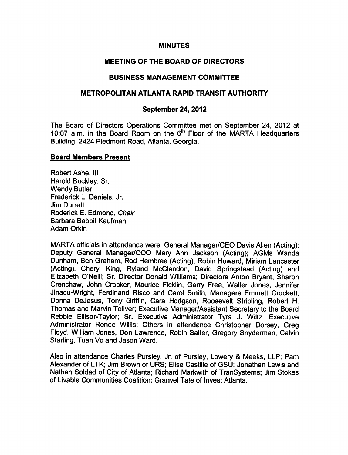#### **MINUTES**

### MEETING OF THE BOARD OF DIRECTORS

#### BUSINESS MANAGEMENT COMMITTEE

#### METROPOLITAN ATLANTA RAPID TRANSIT AUTHORITY

#### September 24, 2012

The Board of Directors Operations Committee met on September 24, 2012 at 10:07 a.m. in the Board Room on the  $6<sup>th</sup>$  Floor of the MARTA Headquarters Building, 2424 Piedmont Road, Atlanta, Georgia.

#### Board Members Present

Robert Ashe, III Harold Buckley, Sr. Wendy Butler Frederick L. Daniels, Jr. Jim Durrett Roderick E. Edmond, Chair Barbara Babbit Kaufman Adam Orkin

MARTA officials in attendance were: General Manager/CEO Davis Allen (Acting); Deputy General Manager/COO Mary Ann Jackson (Acting); AGMs Wanda Dunham, Ben Graham, Rod Hembree (Acting), Robin Howard, Miriam Lancaster (Acting), Cheryl King, Ryland McClendon, David Springstead (Acting) and Elizabeth O'Neill; Sr. Director Donald Williams; Directors Anton Bryant, Sharon Crenchaw, John Crocker, Maurice Ficklin, Garry Free, Walter Jones, Jennifer Jinadu-Wright, Ferdinand Risco and Carol Smith; Managers Emmett Crockett, Donna DeJesus, Tony Griffin, Cara Hodgson, Roosevelt Stripling, Robert H. Thomas and Marvin Toliver; Executive Manager/Assistant Secretary to the Board Rebbie Ellisor-Taylor; Sr. Executive Administrator Tyra J. Wiltz; Executive Administrator Renee Willis; Others in attendance Christopher Dorsey, Greg Floyd, William Jones, Don Lawrence, Robin Salter, Gregory Snyderman, Calvin Starling, Tuan Vo and Jason Ward.

Also in attendance Charles Pursley, Jr. of Pursley, Lowery & Meeks, LLP; Pam Alexander of LTK; Jim Brown of URS; Elise Castille of GSU; Jonathan Lewis and Nathan Soldad of City of Atlanta; Richard Markwith of TranSystems; Jim Stokes of Livable Communities Coalition; Granvel Tate of Invest Atlanta.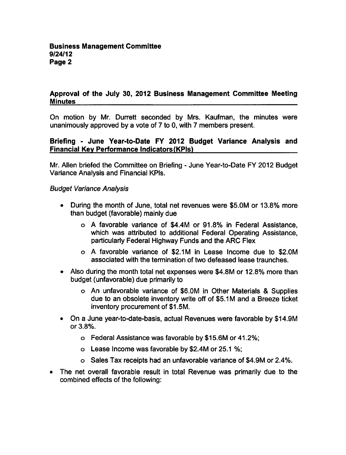### Approval of the July 30, 2012 Business Management Committee Meeting **Minutes**

On motion by Mr. Durrett seconded by Mrs. Kaufman, the minutes were unanimously approved by a vote of  $7$  to  $0$ , with  $7$  members present.

# Briefing - June Year-to-Date FY 2012 Budget Variance Analysis and Financial Key Performance Indicators (KPls)

Mr. Allen briefed the Committee on Briefing - June Year-to-Date FY 2012 Budget Variance Analysis and Financial KPIs.

# Budget Variance Analysis

- During the month of June, total net revenues were \$5.0M or 13.8% more than budget (favorable) mainly due
	- favorable variance of \$4.4M or 91.8% in Federal Assistance, which was attributed to additional Federal Operating Assistance, particularly Federal Highway Funds and the ARC Flex
	- o A favorable variance of \$2.1M in Lease Income due to \$2.0M associated with the termination of two defeased lease traunches.
- Also during the month total net expenses were \$4.8M or 12.8% more than budget (unfavorable) due primarily to
	- o An unfavorable variance of \$6.0M in Other Materials & Supplies due to an obsolete inventory write off of \$5.1M and a Breeze ticket inventory procurement of \$1.5M.
- On a June year-to-date-basis, actual Revenues were favorable by \$14.9M or 3.8%.
	- Federal Assistance was favorable by \$15.6M or 41.2%;
	- Lease Income was favorable by \$2.4M or 25.1 %;
	- Sales Tax receipts had an unfavorable variance of \$4.9M or 2.4%.
- $\bullet$ The net overall favorable result in total Revenue was primarily due to the combined effects of the following: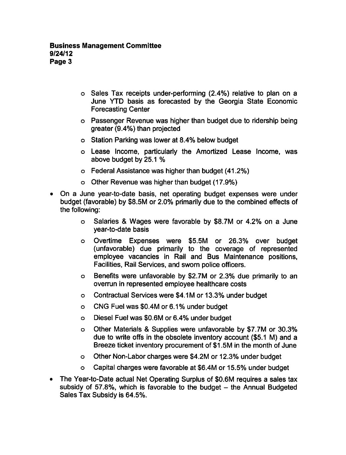- o Sales Tax receipts under-performing (2.4%) relative to plan on a June YTD basis as forecasted by the Georgia State Economic Forecasting Center
- Passenger Revenue was higher than budget due to ridership being greater (9.4%) than projected
- Station Parking was lower at 8.4% below budget
- Lease Income, particularly the Amortized Lease Income, was above budget by 25.1
- Federal Assistance was higher than budget (41.2%)
- Other Revenue was higher than budget (17.9%)
- On a June year-to-date basis, net operating budget expenses were under budget (favorable) by \$8.5M or 2.0% primarily due to the combined effects of the following:
	- Salaries & Wages were favorable by \$8.7M or 4.2% on a June  $\overline{a}$ year-to-date basis
	- Overtime Expenses were \$5.5M or 26.3% over budget (unfavorable) due primarily to the coverage of represented employee vacancies in Rail and Bus Maintenance positions, Facilities, Rail Services, and sworn police officers.
	- Benefits were unfavorable by \$2.7M or 2.3% due primarily to an  $\circ$ overrun in represented employee healthcare costs
	- Contractual Services were \$4.1M or 13.3% under budget  $\bullet$
	- CNG Fuel was \$0.4M or 6.1% under budget  $\circ$
	- Diesel Fuel was \$0.6M or 6.4% under budget  $\mathbf{o}$
	- Other Materials & Supplies were unfavorable by \$7.7M or 30.3%  $\bullet$ due to write offs in the obsolete inventory account (\$5.1 M) and a Breeze ticket inventory procurement of \$1.5M in the month of June
	- Other Non-Labor charges were \$4.2M or 12.3% under budget  $\circ$
	- Capital charges were favorable at \$6.4M or 15.5% under budget  $\circ$
- The Year-to-Date actual Net Operating Surplus of \$0.6M requires a sales tax subsidy of 57.8%, which is favorable to the budget  $-$  the Annual Budgeted Sales Tax Subsidy is 64.5%.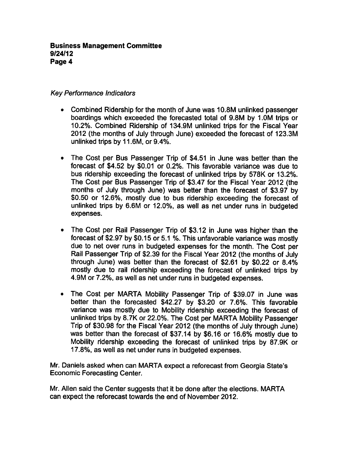# Key Performance Indicators

- Combined Ridership for the month of June was 10.8M unlinked passenger boardings which exceeded the forecasted total of 9.8M by 1.0M trips or 10.2%. Combined Ridership of 134.9M unlinked trips for the Fiscal Year 2012 (the months of July through June) exceeded the forecast of 123.3M unlinked trips by 11.6M, or 9.4%.
- The Cost per Bus Passenger Trip of \$4.51 in June was better than the forecast of \$4.52 by \$0.01 or 0.2%. This favorable variance was due to bus ridership exceeding the forecast of unlinked trips by 578K or 13.2%. The Cost per Bus Passenger Trip of \$3.47 for the Fiscal Year 2012 (the months of July through June) was better than the forecast of \$3.97 by \$0.50 or 12.6%, mostly due to bus ridership exceeding the forecast of unlinked trips by 6.6M or 12.0%, as well as net under runs in budgeted expenses.
- The Cost per Rail Passenger Trip of \$3.12 in June was higher than the forecast of \$2.97 by \$0.15 or 5.1 %. This unfavorable variance was mostly due to net over runs in budgeted expenses for the month. The Cost per Rail Passenger Trip of \$2.39 for the Fiscal Year 2012 (the months of July through June) was better than the forecast of \$2.61 by \$0.22 or 8.4% mostly due to rail ridership exceeding the forecast of unlinked trips by 4.9M or 7.2%, as well as net under runs in budgeted expenses.
- The Cost per MARTA Mobility Passenger Trip of \$39.07 in June was better than the forecasted \$42.27 by \$3.20 or 7.6%. This favorable variance was mostly due to Mobility ridership exceeding the forecast of unlinked trips by 8.7K or 22.0%. The Cost per MARTA Mobility Passenger Trip of \$30.98 for the Fiscal Year 2012 (the months of July through June) was better than the forecast of \$37.14 by \$6.16 or 16.6% mostly due to Mobility ridership exceeding the forecast of unlinked trips by 87.9K or 17.8%, as well as net under runs in budgeted expenses.

Mr. Daniels asked when can MARTA expect a reforecast from Georgia State's Economic Forecasting Center.

Mr. Allen said the Center suggests that it be done after the elections. MARTA can expect the reforecast towards the end of November 2012.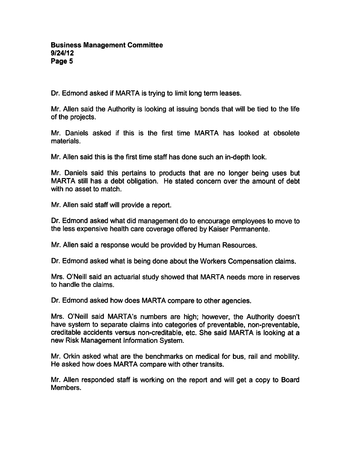#### Business Management Committee 9/24/12 Page 5

Dr. Edmond asked if MARTA is trying to limit long term leases.

Mr. Allen said the Authority is looking at issuing bonds that will be tied to the life of the projects.

Mr. Daniels asked if this is the first time MARTA has looked at obsolete materials.

Mr. Allen said this is the first time staff has done such an in-depth look.

Mr. Daniels said this pertains to products that are no longer being uses but MARTA still has a debt obligation. He stated concern over the amount of debt with no asset to match.

Mr. Allen said staff will provide a report.

Dr. Edmond asked what did management do to encourage employees to move to the less expensive health care coverage offered by Kaiser Permanente.

Mr. Allen said a response would be provided by Human Resources.

Dr. Edmond asked what is being done about the Workers Compensation claims.

Mrs. O'Neill said an actuarial study showed that MARTA needs more in reserves to handle the claims.

Dr. Edmond asked how does MARTA compare to other agencies.

Mrs. O'Neill said MARTA's numbers are high; however, the Authority doesn't have system to separate claims into categories of preventable, non-preventable, creditable accidents versus non-creditable, etc. She said MARTA is looking at new Risk Management Information System.

Mr. Orkin asked what are the benchmarks on medical for bus, rail and mobility. He asked how does MARTA compare with other transits.

Mr. Allen responded staff is working on the report and will get a copy to Board Members.